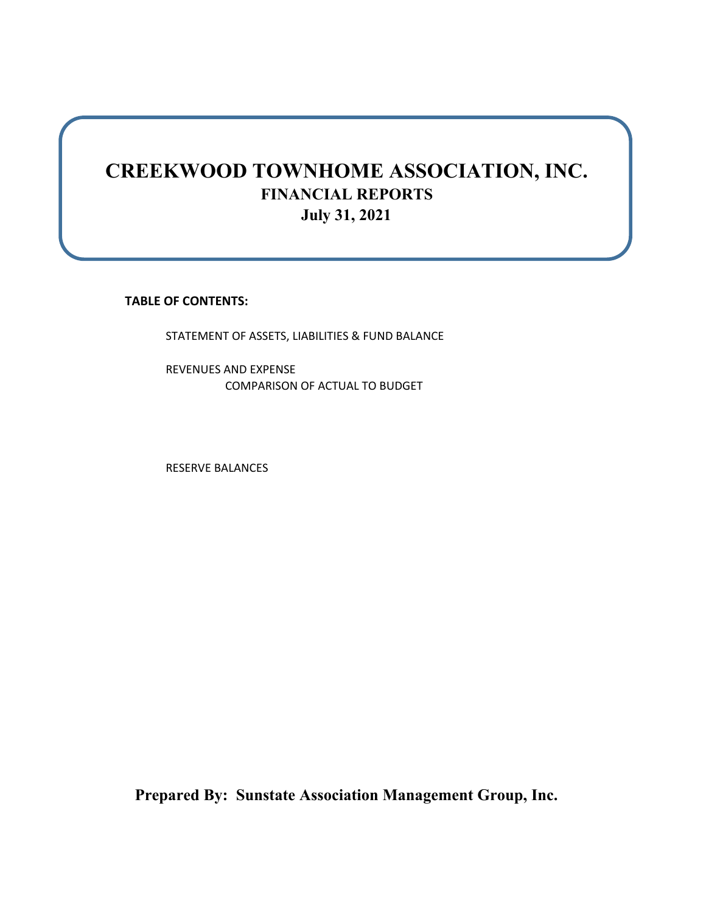# **CREEKWOOD TOWNHOME ASSOCIATION, INC. FINANCIAL REPORTS July 31, 2021**

**TABLE OF CONTENTS:**

STATEMENT OF ASSETS, LIABILITIES & FUND BALANCE

REVENUES AND EXPENSE COMPARISON OF ACTUAL TO BUDGET

RESERVE BALANCES

**Prepared By: Sunstate Association Management Group, Inc.**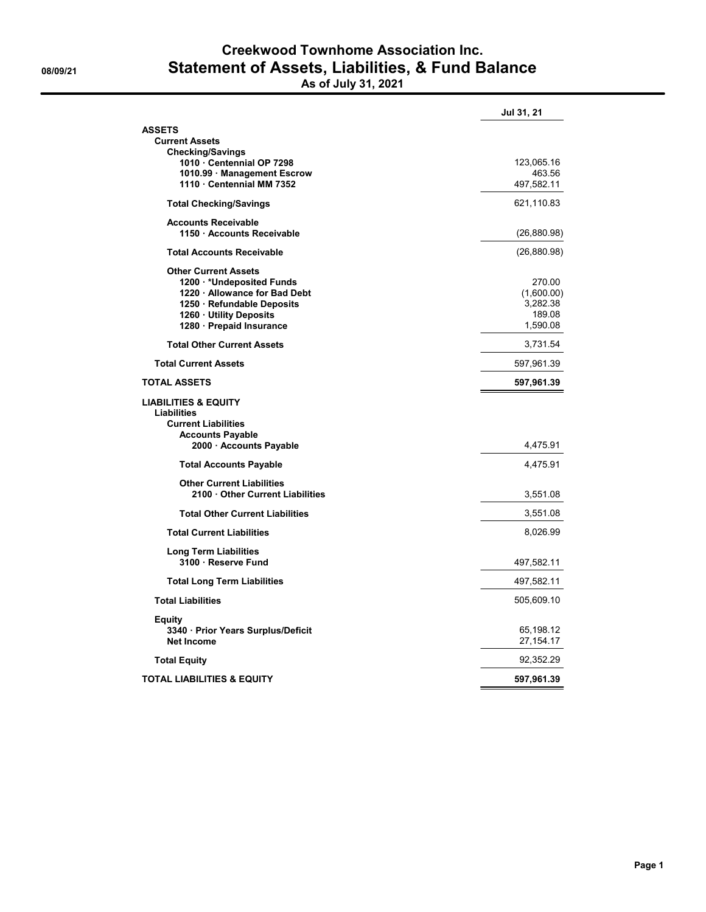### **Creekwood Townhome Association Inc. 08/09/21 Statement of Assets, Liabilities, & Fund Balance As of July 31, 2021**

|                                                                                                                                                                        | Jul 31, 21                                             |
|------------------------------------------------------------------------------------------------------------------------------------------------------------------------|--------------------------------------------------------|
| <b>ASSETS</b><br><b>Current Assets</b><br><b>Checking/Savings</b>                                                                                                      |                                                        |
| 1010 Centennial OP 7298                                                                                                                                                | 123,065.16                                             |
| 1010.99 Management Escrow<br>1110 Centennial MM 7352                                                                                                                   | 463.56<br>497,582.11                                   |
| <b>Total Checking/Savings</b>                                                                                                                                          | 621,110.83                                             |
| <b>Accounts Receivable</b><br>1150 Accounts Receivable                                                                                                                 | (26, 880.98)                                           |
| <b>Total Accounts Receivable</b>                                                                                                                                       | (26, 880.98)                                           |
| <b>Other Current Assets</b><br>1200 *Undeposited Funds<br>1220 Allowance for Bad Debt<br>1250 Refundable Deposits<br>1260 Utility Deposits<br>1280 - Prepaid Insurance | 270.00<br>(1,600.00)<br>3,282.38<br>189.08<br>1,590.08 |
| <b>Total Other Current Assets</b>                                                                                                                                      | 3,731.54                                               |
| <b>Total Current Assets</b>                                                                                                                                            | 597,961.39                                             |
| <b>TOTAL ASSETS</b>                                                                                                                                                    | 597,961.39                                             |
| <b>LIABILITIES &amp; EQUITY</b><br><b>Liabilities</b><br><b>Current Liabilities</b><br><b>Accounts Payable</b><br>2000 Accounts Payable                                | 4,475.91                                               |
| <b>Total Accounts Payable</b>                                                                                                                                          | 4,475.91                                               |
| <b>Other Current Liabilities</b><br>2100 Other Current Liabilities                                                                                                     | 3,551.08                                               |
| <b>Total Other Current Liabilities</b>                                                                                                                                 | 3,551.08                                               |
| <b>Total Current Liabilities</b>                                                                                                                                       | 8,026.99                                               |
| Long Term Liabilities<br>3100 Reserve Fund                                                                                                                             | 497,582.11                                             |
| <b>Total Long Term Liabilities</b>                                                                                                                                     | 497,582.11                                             |
| <b>Total Liabilities</b>                                                                                                                                               | 505,609.10                                             |
| <b>Equity</b><br>3340 · Prior Years Surplus/Deficit<br><b>Net Income</b>                                                                                               | 65,198.12<br>27,154.17                                 |
| <b>Total Equity</b>                                                                                                                                                    | 92,352.29                                              |
| <b>TOTAL LIABILITIES &amp; EQUITY</b>                                                                                                                                  | 597,961.39                                             |
|                                                                                                                                                                        |                                                        |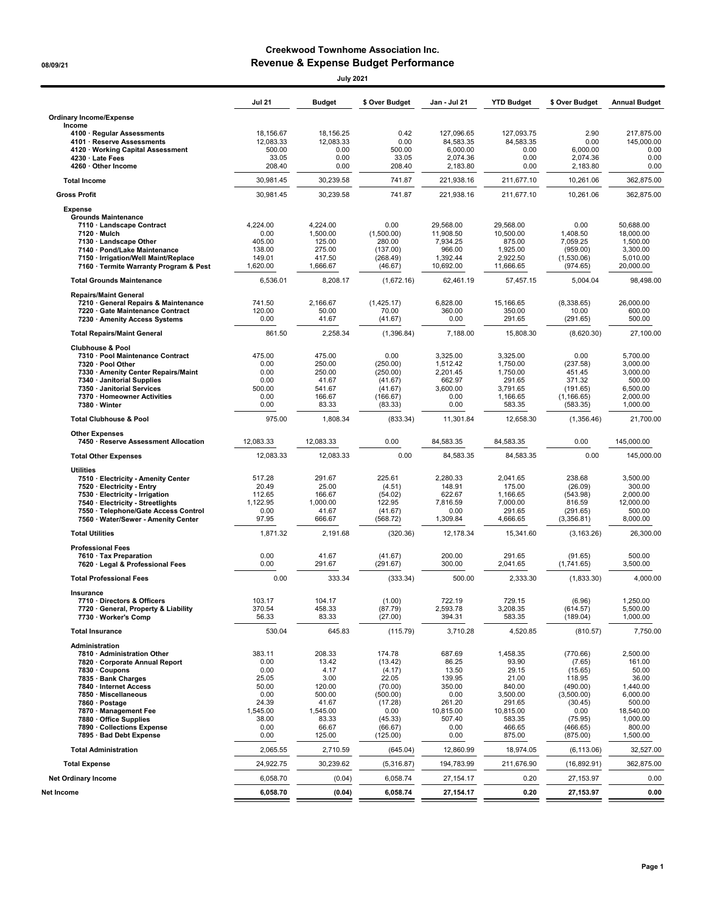### **Creekwood Townhome Association Inc. 08/09/21 Revenue & Expense Budget Performance**

| <b>July 2021</b>                                                                                                                                                                                                                                                                                         |                                                                                                |                                                                                                      |                                                                                                                  |                                                                                                       |                                                                                                                |                                                                                                                         |                                                                                                                       |
|----------------------------------------------------------------------------------------------------------------------------------------------------------------------------------------------------------------------------------------------------------------------------------------------------------|------------------------------------------------------------------------------------------------|------------------------------------------------------------------------------------------------------|------------------------------------------------------------------------------------------------------------------|-------------------------------------------------------------------------------------------------------|----------------------------------------------------------------------------------------------------------------|-------------------------------------------------------------------------------------------------------------------------|-----------------------------------------------------------------------------------------------------------------------|
|                                                                                                                                                                                                                                                                                                          | <b>Jul 21</b>                                                                                  | <b>Budget</b>                                                                                        | \$ Over Budget                                                                                                   | Jan - Jul 21                                                                                          | <b>YTD Budget</b>                                                                                              | \$ Over Budget                                                                                                          | <b>Annual Budget</b>                                                                                                  |
| <b>Ordinary Income/Expense</b><br>Income                                                                                                                                                                                                                                                                 |                                                                                                |                                                                                                      |                                                                                                                  |                                                                                                       |                                                                                                                |                                                                                                                         |                                                                                                                       |
| 4100 · Regular Assessments<br>4101 · Reserve Assessments<br>4120 · Working Capital Assessment<br>4230 · Late Fees<br>4260 · Other Income                                                                                                                                                                 | 18.156.67<br>12,083.33<br>500.00<br>33.05<br>208.40                                            | 18,156.25<br>12,083.33<br>0.00<br>0.00<br>0.00                                                       | 0.42<br>0.00<br>500.00<br>33.05<br>208.40                                                                        | 127,096.65<br>84,583.35<br>6,000.00<br>2,074.36<br>2,183.80                                           | 127,093.75<br>84,583.35<br>0.00<br>0.00<br>0.00                                                                | 2.90<br>0.00<br>6,000.00<br>2,074.36<br>2,183.80                                                                        | 217,875.00<br>145,000.00<br>0.00<br>0.00<br>0.00                                                                      |
| <b>Total Income</b>                                                                                                                                                                                                                                                                                      | 30,981.45                                                                                      | 30,239.58                                                                                            | 741.87                                                                                                           | 221,938.16                                                                                            | 211,677.10                                                                                                     | 10,261.06                                                                                                               | 362,875.00                                                                                                            |
| <b>Gross Profit</b>                                                                                                                                                                                                                                                                                      | 30.981.45                                                                                      | 30,239.58                                                                                            | 741.87                                                                                                           | 221,938.16                                                                                            | 211,677.10                                                                                                     | 10,261.06                                                                                                               | 362,875.00                                                                                                            |
| <b>Expense</b><br><b>Grounds Maintenance</b><br>7110 · Landscape Contract<br>7120 · Mulch<br>7130 · Landscape Other<br>7140 · Pond/Lake Maintenance<br>7150 · Irrigation/Well Maint/Replace<br>7160 · Termite Warranty Program & Pest                                                                    | 4,224.00<br>0.00<br>405.00<br>138.00<br>149.01<br>1,620.00                                     | 4,224.00<br>1,500.00<br>125.00<br>275.00<br>417.50<br>1,666.67                                       | 0.00<br>(1,500.00)<br>280.00<br>(137.00)<br>(268.49)<br>(46.67)                                                  | 29,568.00<br>11,908.50<br>7,934.25<br>966.00<br>1,392.44<br>10,692.00                                 | 29,568.00<br>10,500.00<br>875.00<br>1,925.00<br>2,922.50<br>11,666.65                                          | 0.00<br>1,408.50<br>7,059.25<br>(959.00)<br>(1,530.06)<br>(974.65)                                                      | 50,688.00<br>18,000.00<br>1,500.00<br>3,300.00<br>5,010.00<br>20,000.00                                               |
| <b>Total Grounds Maintenance</b>                                                                                                                                                                                                                                                                         | 6,536.01                                                                                       | 8,208.17                                                                                             | (1,672.16)                                                                                                       | 62,461.19                                                                                             | 57,457.15                                                                                                      | 5,004.04                                                                                                                | 98,498.00                                                                                                             |
| <b>Repairs/Maint General</b><br>7210 · General Repairs & Maintenance<br>7220 · Gate Maintenance Contract<br>7230 · Amenity Access Systems                                                                                                                                                                | 741.50<br>120.00<br>0.00                                                                       | 2,166.67<br>50.00<br>41.67                                                                           | (1,425.17)<br>70.00<br>(41.67)                                                                                   | 6,828.00<br>360.00<br>0.00                                                                            | 15,166.65<br>350.00<br>291.65                                                                                  | (8,338.65)<br>10.00<br>(291.65)                                                                                         | 26.000.00<br>600.00<br>500.00                                                                                         |
| <b>Total Repairs/Maint General</b>                                                                                                                                                                                                                                                                       | 861.50                                                                                         | 2,258.34                                                                                             | (1,396.84)                                                                                                       | 7.188.00                                                                                              | 15,808.30                                                                                                      | (8,620.30)                                                                                                              | 27,100.00                                                                                                             |
| <b>Clubhouse &amp; Pool</b><br>7310 · Pool Maintenance Contract<br>7320 · Pool Other<br>7330 • Amenity Center Repairs/Maint<br>7340 · Janitorial Supplies<br>7350 · Janitorial Services<br>7370 · Homeowner Activities<br>7380 · Winter                                                                  | 475.00<br>0.00<br>0.00<br>0.00<br>500.00<br>0.00<br>0.00                                       | 475.00<br>250.00<br>250.00<br>41.67<br>541.67<br>166.67<br>83.33                                     | 0.00<br>(250.00)<br>(250.00)<br>(41.67)<br>(41.67)<br>(166.67)<br>(83.33)                                        | 3,325.00<br>1,512.42<br>2,201.45<br>662.97<br>3,600.00<br>0.00<br>0.00                                | 3.325.00<br>1.750.00<br>1,750.00<br>291.65<br>3,791.65<br>1,166.65<br>583.35                                   | 0.00<br>(237.58)<br>451.45<br>371.32<br>(191.65)<br>(1, 166.65)<br>(583.35)                                             | 5,700.00<br>3,000.00<br>3,000.00<br>500.00<br>6,500.00<br>2,000.00<br>1,000.00                                        |
| <b>Total Clubhouse &amp; Pool</b>                                                                                                                                                                                                                                                                        | 975.00                                                                                         | 1,808.34                                                                                             | (833.34)                                                                                                         | 11,301.84                                                                                             | 12,658.30                                                                                                      | (1,356.46)                                                                                                              | 21,700.00                                                                                                             |
| <b>Other Expenses</b>                                                                                                                                                                                                                                                                                    |                                                                                                |                                                                                                      |                                                                                                                  |                                                                                                       |                                                                                                                |                                                                                                                         |                                                                                                                       |
| 7450 · Reserve Assessment Allocation                                                                                                                                                                                                                                                                     | 12,083.33                                                                                      | 12,083.33                                                                                            | 0.00                                                                                                             | 84,583.35                                                                                             | 84,583.35                                                                                                      | 0.00                                                                                                                    | 145,000.00                                                                                                            |
| <b>Total Other Expenses</b>                                                                                                                                                                                                                                                                              | 12,083.33                                                                                      | 12,083.33                                                                                            | 0.00                                                                                                             | 84,583.35                                                                                             | 84,583.35                                                                                                      | 0.00                                                                                                                    | 145,000.00                                                                                                            |
| <b>Utilities</b><br>7510 · Electricity - Amenity Center<br>7520 · Electricity - Entry<br>7530 · Electricity - Irrigation<br>7540 · Electricity - Streetlights<br>7550 · Telephone/Gate Access Control<br>7560 · Water/Sewer - Amenity Center                                                             | 517.28<br>20.49<br>112.65<br>1,122.95<br>0.00<br>97.95                                         | 291.67<br>25.00<br>166.67<br>1,000.00<br>41.67<br>666.67                                             | 225.61<br>(4.51)<br>(54.02)<br>122.95<br>(41.67)<br>(568.72)                                                     | 2,280.33<br>148.91<br>622.67<br>7,816.59<br>0.00<br>1,309.84                                          | 2,041.65<br>175.00<br>1,166.65<br>7,000.00<br>291.65<br>4,666.65                                               | 238.68<br>(26.09)<br>(543.98)<br>816.59<br>(291.65)<br>(3,356.81)                                                       | 3,500.00<br>300.00<br>2,000.00<br>12,000.00<br>500.00<br>8,000.00                                                     |
| <b>Total Utilities</b>                                                                                                                                                                                                                                                                                   | 1,871.32                                                                                       | 2.191.68                                                                                             | (320.36)                                                                                                         | 12,178.34                                                                                             | 15,341.60                                                                                                      | (3, 163.26)                                                                                                             | 26,300.00                                                                                                             |
| <b>Professional Fees</b><br>7610 · Tax Preparation<br>7620 · Legal & Professional Fees                                                                                                                                                                                                                   | 0.00<br>0.00                                                                                   | 41.67<br>291.67                                                                                      | (41.67)<br>(291.67)                                                                                              | 200.00<br>300.00                                                                                      | 291.65<br>2.041.65                                                                                             | (91.65)<br>(1,741.65)                                                                                                   | 500.00<br>3,500.00                                                                                                    |
| <b>Total Professional Fees</b>                                                                                                                                                                                                                                                                           | 0.00                                                                                           | 333.34                                                                                               | (333.34)                                                                                                         | 500.00                                                                                                | 2,333.30                                                                                                       | (1,833.30)                                                                                                              | 4,000.00                                                                                                              |
| Insurance<br>7710 · Directors & Officers<br>7720 · General, Property & Liability<br>7730 · Worker's Comp                                                                                                                                                                                                 | 103.17<br>370.54<br>56.33                                                                      | 104.17<br>458.33<br>83.33                                                                            | (1.00)<br>(87.79)<br>(27.00)                                                                                     | 722.19<br>2,593.78<br>394.31                                                                          | 729.15<br>3,208.35<br>583.35                                                                                   | (6.96)<br>(614.57)<br>(189.04)                                                                                          | 1,250.00<br>5,500.00<br>1,000.00                                                                                      |
| <b>Total Insurance</b>                                                                                                                                                                                                                                                                                   | 530.04                                                                                         | 645.83                                                                                               | (115.79)                                                                                                         | 3,710.28                                                                                              | 4,520.85                                                                                                       | (810.57)                                                                                                                | 7,750.00                                                                                                              |
| Administration<br>7810 · Administration Other<br>7820 · Corporate Annual Report<br>7830 · Coupons<br>7835 · Bank Charges<br>7840 · Internet Access<br>7850 · Miscellaneous<br>7860 · Postage<br>7870 · Management Fee<br>7880 · Office Supplies<br>7890 · Collections Expense<br>7895 · Bad Debt Expense | 383.11<br>0.00<br>0.00<br>25.05<br>50.00<br>0.00<br>24.39<br>1,545.00<br>38.00<br>0.00<br>0.00 | 208.33<br>13.42<br>4.17<br>3.00<br>120.00<br>500.00<br>41.67<br>1,545.00<br>83.33<br>66.67<br>125.00 | 174.78<br>(13.42)<br>(4.17)<br>22.05<br>(70.00)<br>(500.00)<br>(17.28)<br>0.00<br>(45.33)<br>(66.67)<br>(125.00) | 687.69<br>86.25<br>13.50<br>139.95<br>350.00<br>0.00<br>261.20<br>10,815.00<br>507.40<br>0.00<br>0.00 | 1,458.35<br>93.90<br>29.15<br>21.00<br>840.00<br>3,500.00<br>291.65<br>10,815.00<br>583.35<br>466.65<br>875.00 | (770.66)<br>(7.65)<br>(15.65)<br>118.95<br>(490.00)<br>(3,500.00)<br>(30.45)<br>0.00<br>(75.95)<br>(466.65)<br>(875.00) | 2,500.00<br>161.00<br>50.00<br>36.00<br>1,440.00<br>6,000.00<br>500.00<br>18,540.00<br>1,000.00<br>800.00<br>1,500.00 |
| <b>Total Administration</b>                                                                                                                                                                                                                                                                              | 2,065.55                                                                                       | 2,710.59                                                                                             | (645.04)                                                                                                         | 12,860.99                                                                                             | 18,974.05                                                                                                      | (6, 113.06)                                                                                                             | 32,527.00                                                                                                             |
| <b>Total Expense</b>                                                                                                                                                                                                                                                                                     | 24,922.75                                                                                      | 30,239.62                                                                                            | (5,316.87)                                                                                                       | 194,783.99                                                                                            | 211,676.90                                                                                                     | (16, 892.91)                                                                                                            | 362,875.00                                                                                                            |
| <b>Net Ordinary Income</b>                                                                                                                                                                                                                                                                               | 6,058.70                                                                                       | (0.04)                                                                                               | 6,058.74                                                                                                         | 27, 154. 17                                                                                           | 0.20                                                                                                           | 27,153.97                                                                                                               | 0.00                                                                                                                  |
| Net Income                                                                                                                                                                                                                                                                                               | 6,058.70                                                                                       | (0.04)                                                                                               | 6,058.74                                                                                                         | 27,154.17                                                                                             | 0.20                                                                                                           | 27,153.97                                                                                                               | 0.00                                                                                                                  |